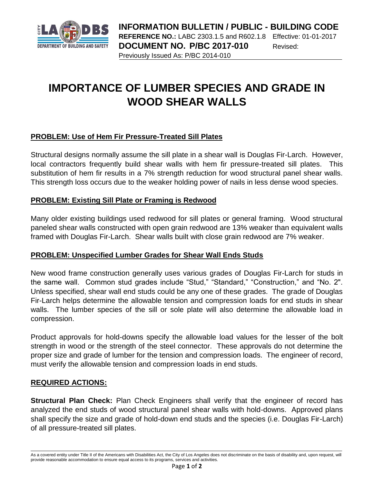

# **IMPORTANCE OF LUMBER SPECIES AND GRADE IN WOOD SHEAR WALLS**

## **PROBLEM: Use of Hem Fir Pressure-Treated Sill Plates**

Structural designs normally assume the sill plate in a shear wall is Douglas Fir-Larch. However, local contractors frequently build shear walls with hem fir pressure-treated sill plates. This substitution of hem fir results in a 7% strength reduction for wood structural panel shear walls. This strength loss occurs due to the weaker holding power of nails in less dense wood species.

### **PROBLEM: Existing Sill Plate or Framing is Redwood**

Many older existing buildings used redwood for sill plates or general framing. Wood structural paneled shear walls constructed with open grain redwood are 13% weaker than equivalent walls framed with Douglas Fir-Larch. Shear walls built with close grain redwood are 7% weaker.

### **PROBLEM: Unspecified Lumber Grades for Shear Wall Ends Studs**

New wood frame construction generally uses various grades of Douglas Fir-Larch for studs in the same wall. Common stud grades include "Stud," "Standard," "Construction," and "No. 2". Unless specified, shear wall end studs could be any one of these grades. The grade of Douglas Fir-Larch helps determine the allowable tension and compression loads for end studs in shear walls. The lumber species of the sill or sole plate will also determine the allowable load in compression.

Product approvals for hold-downs specify the allowable load values for the lesser of the bolt strength in wood or the strength of the steel connector. These approvals do not determine the proper size and grade of lumber for the tension and compression loads. The engineer of record, must verify the allowable tension and compression loads in end studs.

### **REQUIRED ACTIONS:**

**Structural Plan Check:** Plan Check Engineers shall verify that the engineer of record has analyzed the end studs of wood structural panel shear walls with hold-downs. Approved plans shall specify the size and grade of hold-down end studs and the species (i.e. Douglas Fir-Larch) of all pressure-treated sill plates.

As a covered entity under Title II of the Americans with Disabilities Act, the City of Los Angeles does not discriminate on the basis of disability and, upon request, will provide reasonable accommodation to ensure equal access to its programs, services and activities.